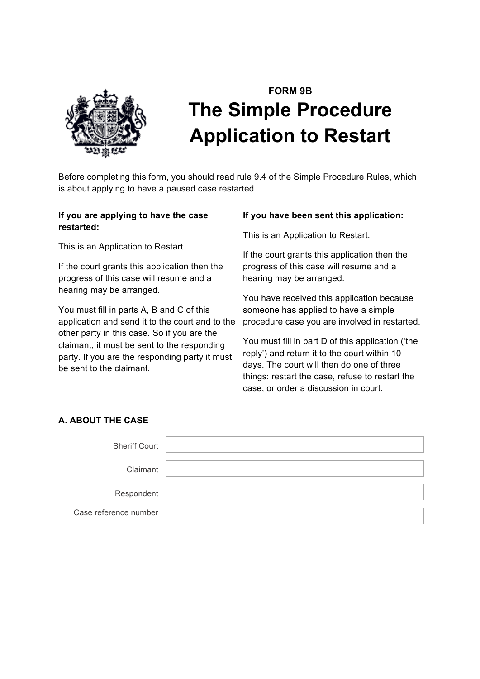

# **FORM 9B The Simple Procedure Application to Restart**

Before completing this form, you should read rule 9.4 of the Simple Procedure Rules, which is about applying to have a paused case restarted.

## **If you are applying to have the case restarted:**

This is an Application to Restart.

If the court grants this application then the progress of this case will resume and a hearing may be arranged.

You must fill in parts A, B and C of this application and send it to the court and to the other party in this case. So if you are the claimant, it must be sent to the responding party. If you are the responding party it must be sent to the claimant.

#### **If you have been sent this application:**

This is an Application to Restart.

If the court grants this application then the progress of this case will resume and a hearing may be arranged.

You have received this application because someone has applied to have a simple procedure case you are involved in restarted.

You must fill in part D of this application ('the reply') and return it to the court within 10 days. The court will then do one of three things: restart the case, refuse to restart the case, or order a discussion in court.

# **A. ABOUT THE CASE**

| <b>Sheriff Court</b>  |  |
|-----------------------|--|
|                       |  |
| Claimant              |  |
|                       |  |
| Respondent            |  |
|                       |  |
| Case reference number |  |
|                       |  |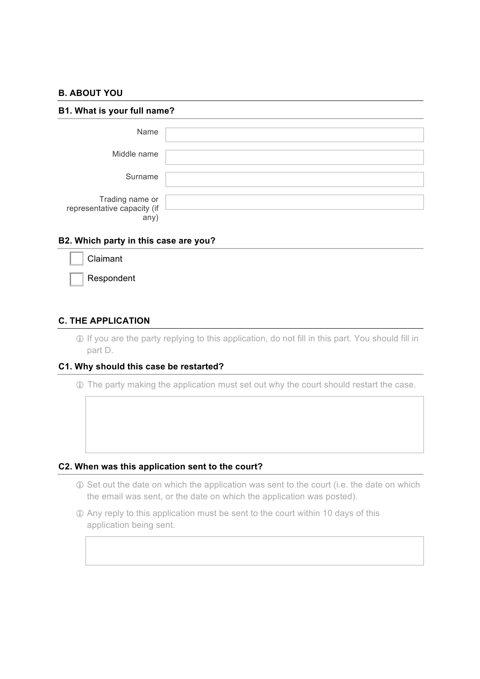#### **B. ABOUT YOU**

| B1. What is your full name?                            |  |  |  |  |
|--------------------------------------------------------|--|--|--|--|
| Name                                                   |  |  |  |  |
| Middle name                                            |  |  |  |  |
| Surname                                                |  |  |  |  |
| Trading name or<br>representative capacity (if<br>any) |  |  |  |  |

#### **B2. Which party in this case are you?**

| Claimant   |
|------------|
| Respondent |

#### **C. THE APPLICATION**

! If you are the party replying to this application, do not fill in this part. You should fill in part D.

#### **C1. Why should this case be restarted?**

! The party making the application must set out why the court should restart the case.

#### **C2. When was this application sent to the court?**

- ! Set out the date on which the application was sent to the court (i.e. the date on which the email was sent, or the date on which the application was posted).
- ! Any reply to this application must be sent to the court within 10 days of this application being sent.